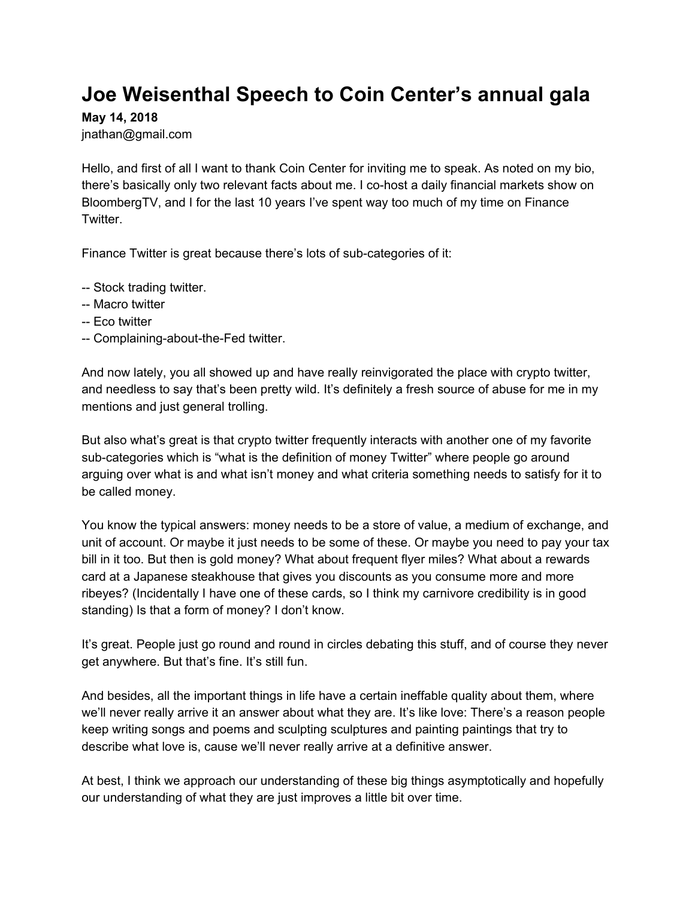## **Joe Weisenthal Speech to Coin Center's annual gala**

**May 14, 2018**

jnathan@gmail.com

Hello, and first of all I want to thank Coin Center for inviting me to speak. As noted on my bio, there's basically only two relevant facts about me. I co-host a daily financial markets show on BloombergTV, and I for the last 10 years I've spent way too much of my time on Finance Twitter.

Finance Twitter is great because there's lots of sub-categories of it:

- -- Stock trading twitter.
- -- Macro twitter
- -- Eco twitter
- -- Complaining-about-the-Fed twitter.

And now lately, you all showed up and have really reinvigorated the place with crypto twitter, and needless to say that's been pretty wild. It's definitely a fresh source of abuse for me in my mentions and just general trolling.

But also what's great is that crypto twitter frequently interacts with another one of my favorite sub-categories which is "what is the definition of money Twitter" where people go around arguing over what is and what isn't money and what criteria something needs to satisfy for it to be called money.

You know the typical answers: money needs to be a store of value, a medium of exchange, and unit of account. Or maybe it just needs to be some of these. Or maybe you need to pay your tax bill in it too. But then is gold money? What about frequent flyer miles? What about a rewards card at a Japanese steakhouse that gives you discounts as you consume more and more ribeyes? (Incidentally I have one of these cards, so I think my carnivore credibility is in good standing) Is that a form of money? I don't know.

It's great. People just go round and round in circles debating this stuff, and of course they never get anywhere. But that's fine. It's still fun.

And besides, all the important things in life have a certain ineffable quality about them, where we'll never really arrive it an answer about what they are. It's like love: There's a reason people keep writing songs and poems and sculpting sculptures and painting paintings that try to describe what love is, cause we'll never really arrive at a definitive answer.

At best, I think we approach our understanding of these big things asymptotically and hopefully our understanding of what they are just improves a little bit over time.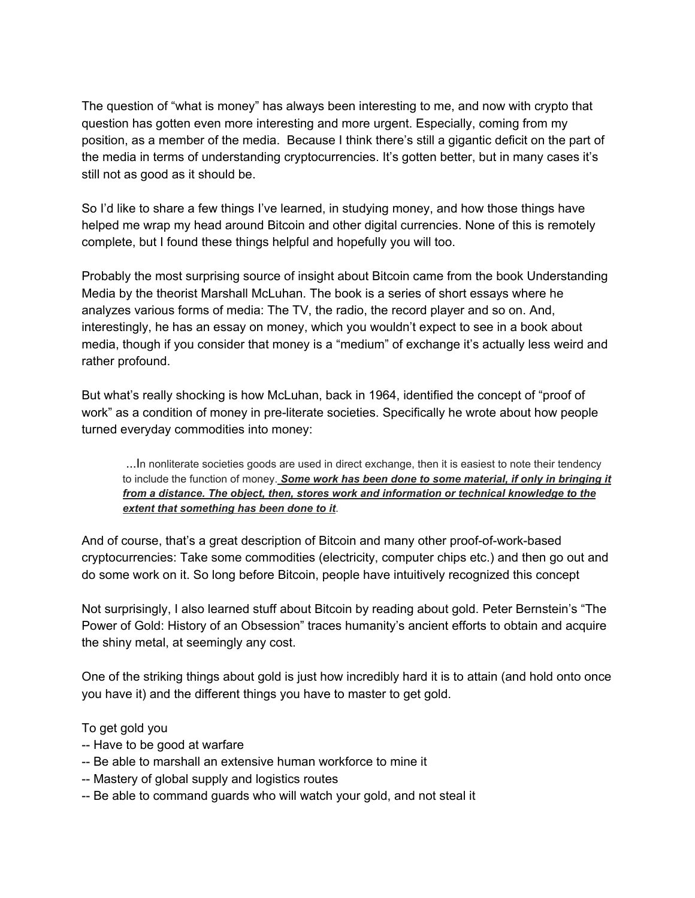The question of "what is money" has always been interesting to me, and now with crypto that question has gotten even more interesting and more urgent. Especially, coming from my position, as a member of the media. Because I think there's still a gigantic deficit on the part of the media in terms of understanding cryptocurrencies. It's gotten better, but in many cases it's still not as good as it should be.

So I'd like to share a few things I've learned, in studying money, and how those things have helped me wrap my head around Bitcoin and other digital currencies. None of this is remotely complete, but I found these things helpful and hopefully you will too.

Probably the most surprising source of insight about Bitcoin came from the book Understanding Media by the theorist Marshall McLuhan. The book is a series of short essays where he analyzes various forms of media: The TV, the radio, the record player and so on. And, interestingly, he has an essay on money, which you wouldn't expect to see in a book about media, though if you consider that money is a "medium" of exchange it's actually less weird and rather profound.

But what's really shocking is how McLuhan, back in 1964, identified the concept of "proof of work" as a condition of money in pre-literate societies. Specifically he wrote about how people turned everyday commodities into money:

...In nonliterate societies goods are used in direct exchange, then it is easiest to note their tendency to include the function of money. *Some work has been done to some material, if only in bringing it from a distance. The object, then, stores work and information or technical knowledge to the extent that something has been done to it*.

And of course, that's a great description of Bitcoin and many other proof-of-work-based cryptocurrencies: Take some commodities (electricity, computer chips etc.) and then go out and do some work on it. So long before Bitcoin, people have intuitively recognized this concept

Not surprisingly, I also learned stuff about Bitcoin by reading about gold. Peter Bernstein's "The Power of Gold: History of an Obsession" traces humanity's ancient efforts to obtain and acquire the shiny metal, at seemingly any cost.

One of the striking things about gold is just how incredibly hard it is to attain (and hold onto once you have it) and the different things you have to master to get gold.

To get gold you

- -- Have to be good at warfare
- -- Be able to marshall an extensive human workforce to mine it
- -- Mastery of global supply and logistics routes
- -- Be able to command guards who will watch your gold, and not steal it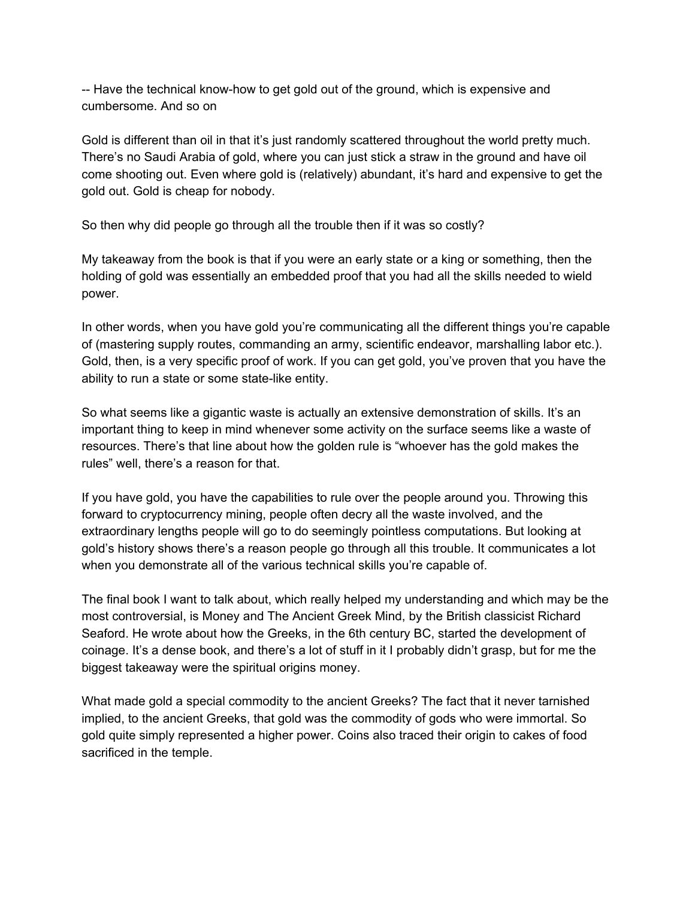-- Have the technical know-how to get gold out of the ground, which is expensive and cumbersome. And so on

Gold is different than oil in that it's just randomly scattered throughout the world pretty much. There's no Saudi Arabia of gold, where you can just stick a straw in the ground and have oil come shooting out. Even where gold is (relatively) abundant, it's hard and expensive to get the gold out. Gold is cheap for nobody.

So then why did people go through all the trouble then if it was so costly?

My takeaway from the book is that if you were an early state or a king or something, then the holding of gold was essentially an embedded proof that you had all the skills needed to wield power.

In other words, when you have gold you're communicating all the different things you're capable of (mastering supply routes, commanding an army, scientific endeavor, marshalling labor etc.). Gold, then, is a very specific proof of work. If you can get gold, you've proven that you have the ability to run a state or some state-like entity.

So what seems like a gigantic waste is actually an extensive demonstration of skills. It's an important thing to keep in mind whenever some activity on the surface seems like a waste of resources. There's that line about how the golden rule is "whoever has the gold makes the rules" well, there's a reason for that.

If you have gold, you have the capabilities to rule over the people around you. Throwing this forward to cryptocurrency mining, people often decry all the waste involved, and the extraordinary lengths people will go to do seemingly pointless computations. But looking at gold's history shows there's a reason people go through all this trouble. It communicates a lot when you demonstrate all of the various technical skills you're capable of.

The final book I want to talk about, which really helped my understanding and which may be the most controversial, is Money and The Ancient Greek Mind, by the British classicist Richard Seaford. He wrote about how the Greeks, in the 6th century BC, started the development of coinage. It's a dense book, and there's a lot of stuff in it I probably didn't grasp, but for me the biggest takeaway were the spiritual origins money.

What made gold a special commodity to the ancient Greeks? The fact that it never tarnished implied, to the ancient Greeks, that gold was the commodity of gods who were immortal. So gold quite simply represented a higher power. Coins also traced their origin to cakes of food sacrificed in the temple.